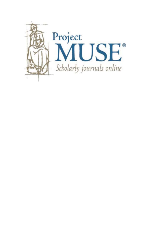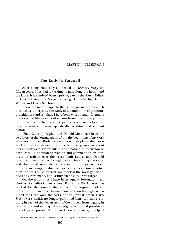## MARTIN J. GLISERMAN

## **The Editor's Farewell**

After being editorially connected to *American Imago* for fifteen years, I decided it was time to pass along the honor and the labor. It has indeed been a privilege to be the fourth Editor in Chief of *American Imago*, following Hanns Sachs, George Wilbur and Harry Slochower.

There are many people to thank–the journal is very much a collective enterprise, the work of a community of generous practitioners and scholars. I have been exceptionally fortunate that over the fifteen years of my involvement with the journal, there has been a basic core of people who have helped me produce issue after issue, specifically co-editors and assistant editors.

 First, Louise J. Kaplan and Donald Moss have been the co-editors of the journal almost from the beginning of my work as editor in chief. Both are exceptional people in their own work as psychoanalysts and writers; both are passionate about ideas, needless to say articulate, and unafraid of discussion or hard work. In addition to reading and commenting on hundreds of articles over the years, both Louise and Donald produced special issues, brought others into doing the same, and discovered new talents to write for the journal. Our monthly meetings to discuss papers were sometimes hotter than the tea Louise offered, nonetheless the work got done, decisions were made, and lasting friendships were forged.

On the front lines I have been equally fortunate in my choices for editorial associates: Katherine Birckmayer has worked for the journal almost from the beginning of my tenure, and Diane Rizzo began about half way through. When I first took the over the work of the journal, when Harry Slochower's health no longer permitted him to, I did everything in each of the dozen steps of the process from logging in submissions and writing acknowledgments to final proofreading of page proofs. So, when I was able to get help, I

*American Imago*, Vol. 58, No. 2, 497–499. © 2001 by The Johns Hopkins University Press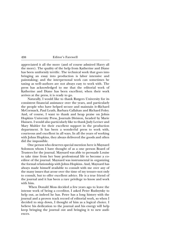appreciated it all the more (and of course admired Harry all the more). The quality of the help from Katherine and Diane has been uniformly terrific. The technical work that goes into bringing an essay into production is labor intensive and painstaking; and the interpersonal work can sometimes be taxing as well–authors are not always easy to work with. The press has acknowledged to me that the editorial work of Katherine and Diane has been excellent; when their work arrives at the press, it is ready to go.

Naturally, I would like to thank Rutgers University for its consistent financial assistance over the years, and particularly the people who have helped secure and maintain it–Richard McCormack, Paul Leath, Barbara Callahan and Richard Foley. And, of course, I want to thank and heap praise on Johns Hopkins University Press, Journals Division, headed by Marie Hansen. I would also particularly like to thank Judy Lerner and Mary Muhler for their excellent support in the production department. It has been a wonderful press to work with, courteous and excellent in all ways. In all the years of working with Johns Hopkins, they always delivered the goods and often did the impossible.

One person who deserves special mention here is Maynard Solomon whom I have thought of as a one person Board of Trustees for the journal. Maynard was able to persuade Louise to take time from her busy professional life to become a coeditor of the journal. Maynard was instrumental in organizing the formal relationship with Johns Hopkins. And, Maynard has always made himself available to consult with me over any of the many issues that arose over the time of my tenure–not only to consult, but to offer excellent advice. He is a true friend of the journal and it has been a rare privilege to know and work with him.

 When Donald Moss decided a few years ago to leave the intense work of being a co-editor, I asked Peter Rudnytsky to help out, as indeed he has. Peter has a long history with the journal and a proven track record of editorial work, so when I decided to step down, I thought of him as a logical choice. I believe his dedication to the journal and his energy will help keep bringing the journal out and bringing it to new audiences.